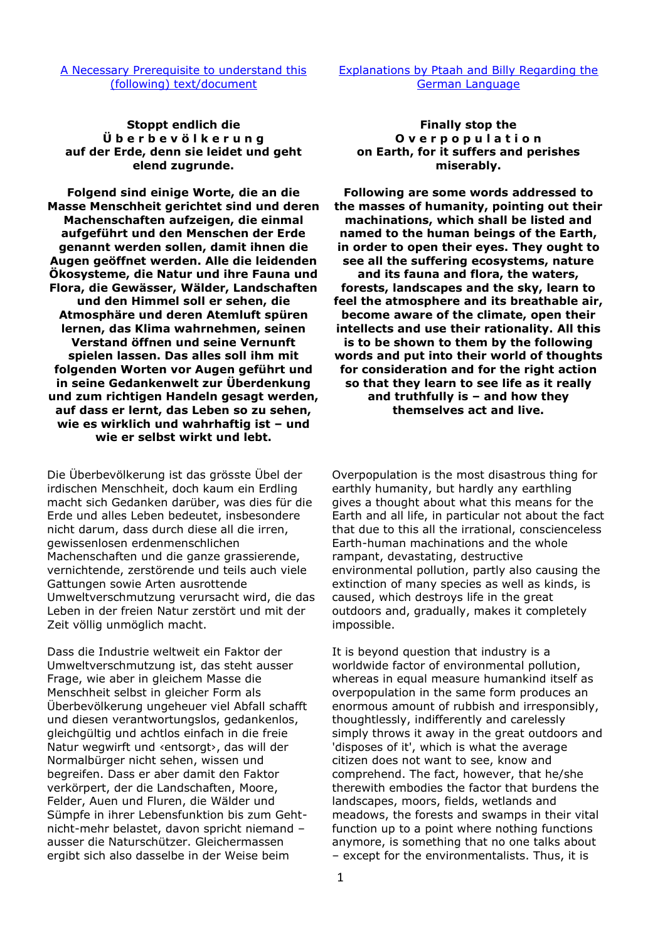## [A Necessary Prerequisite to understand this](http://au.figu.org/necessary_prerequisite.html)  [\(following\) text/document](http://au.figu.org/necessary_prerequisite.html)

**Stoppt endlich die Ü b e r b e v ö l k e r u n g auf der Erde, denn sie leidet und geht elend zugrunde.**

**Folgend sind einige Worte, die an die Masse Menschheit gerichtet sind und deren Machenschaften aufzeigen, die einmal aufgeführt und den Menschen der Erde genannt werden sollen, damit ihnen die Augen geöffnet werden. Alle die leidenden Ökosysteme, die Natur und ihre Fauna und Flora, die Gewässer, Wälder, Landschaften und den Himmel soll er sehen, die Atmosphäre und deren Atemluft spüren lernen, das Klima wahrnehmen, seinen Verstand öffnen und seine Vernunft spielen lassen. Das alles soll ihm mit folgenden Worten vor Augen geführt und in seine Gedankenwelt zur Überdenkung und zum richtigen Handeln gesagt werden, auf dass er lernt, das Leben so zu sehen, wie es wirklich und wahrhaftig ist – und wie er selbst wirkt und lebt.** 

Die Überbevölkerung ist das grösste Übel der irdischen Menschheit, doch kaum ein Erdling macht sich Gedanken darüber, was dies für die Erde und alles Leben bedeutet, insbesondere nicht darum, dass durch diese all die irren, gewissenlosen erdenmenschlichen Machenschaften und die ganze grassierende, vernichtende, zerstörende und teils auch viele Gattungen sowie Arten ausrottende Umweltverschmutzung verursacht wird, die das Leben in der freien Natur zerstört und mit der Zeit völlig unmöglich macht.

Dass die Industrie weltweit ein Faktor der Umweltverschmutzung ist, das steht ausser Frage, wie aber in gleichem Masse die Menschheit selbst in gleicher Form als Überbevölkerung ungeheuer viel Abfall schafft und diesen verantwortungslos, gedankenlos, gleichgültig und achtlos einfach in die freie Natur wegwirft und ‹entsorgt›, das will der Normalbürger nicht sehen, wissen und begreifen. Dass er aber damit den Faktor verkörpert, der die Landschaften, Moore, Felder, Auen und Fluren, die Wälder und Sümpfe in ihrer Lebensfunktion bis zum Gehtnicht-mehr belastet, davon spricht niemand – ausser die Naturschützer. Gleichermassen ergibt sich also dasselbe in der Weise beim

[Explanations by Ptaah and Billy Regarding the](http://au.figu.org/german_explanations.html)  [German Language](http://au.figu.org/german_explanations.html)

**Finally stop the O v e r p o p u l a t i o n on Earth, for it suffers and perishes miserably.** 

**Following are some words addressed to the masses of humanity, pointing out their machinations, which shall be listed and named to the human beings of the Earth, in order to open their eyes. They ought to see all the suffering ecosystems, nature and its fauna and flora, the waters, forests, landscapes and the sky, learn to feel the atmosphere and its breathable air, become aware of the climate, open their intellects and use their rationality. All this is to be shown to them by the following words and put into their world of thoughts for consideration and for the right action so that they learn to see life as it really and truthfully is – and how they themselves act and live.** 

Overpopulation is the most disastrous thing for earthly humanity, but hardly any earthling gives a thought about what this means for the Earth and all life, in particular not about the fact that due to this all the irrational, conscienceless Earth-human machinations and the whole rampant, devastating, destructive environmental pollution, partly also causing the extinction of many species as well as kinds, is caused, which destroys life in the great outdoors and, gradually, makes it completely impossible.

It is beyond question that industry is a worldwide factor of environmental pollution, whereas in equal measure humankind itself as overpopulation in the same form produces an enormous amount of rubbish and irresponsibly, thoughtlessly, indifferently and carelessly simply throws it away in the great outdoors and 'disposes of it', which is what the average citizen does not want to see, know and comprehend. The fact, however, that he/she therewith embodies the factor that burdens the landscapes, moors, fields, wetlands and meadows, the forests and swamps in their vital function up to a point where nothing functions anymore, is something that no one talks about – except for the environmentalists. Thus, it is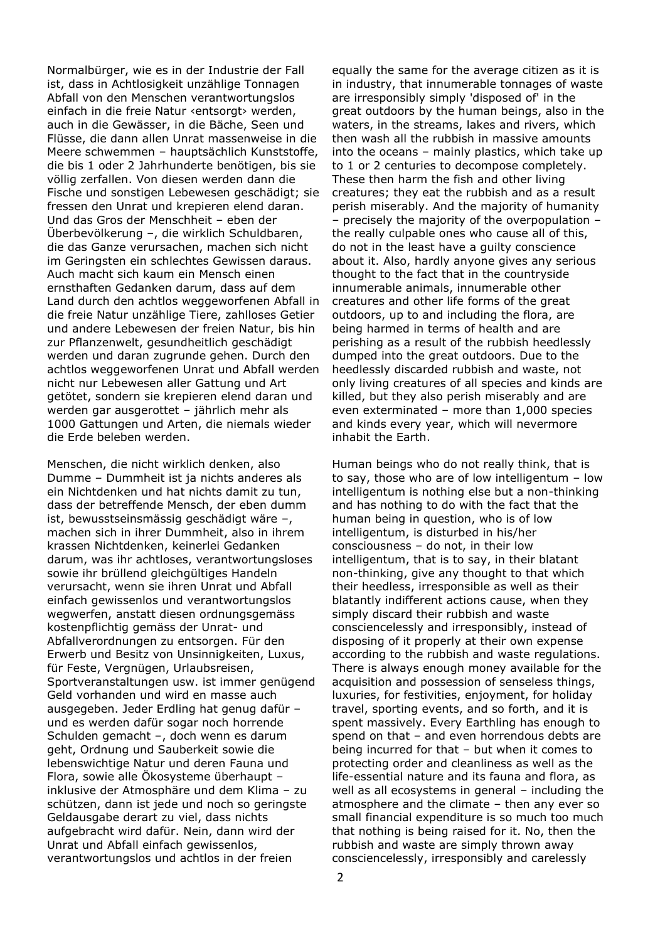Normalbürger, wie es in der Industrie der Fall ist, dass in Achtlosigkeit unzählige Tonnagen Abfall von den Menschen verantwortungslos einfach in die freie Natur ‹entsorgt› werden, auch in die Gewässer, in die Bäche, Seen und Flüsse, die dann allen Unrat massenweise in die Meere schwemmen – hauptsächlich Kunststoffe, die bis 1 oder 2 Jahrhunderte benötigen, bis sie völlig zerfallen. Von diesen werden dann die Fische und sonstigen Lebewesen geschädigt; sie fressen den Unrat und krepieren elend daran. Und das Gros der Menschheit – eben der Überbevölkerung –, die wirklich Schuldbaren, die das Ganze verursachen, machen sich nicht im Geringsten ein schlechtes Gewissen daraus. Auch macht sich kaum ein Mensch einen ernsthaften Gedanken darum, dass auf dem Land durch den achtlos weggeworfenen Abfall in die freie Natur unzählige Tiere, zahlloses Getier und andere Lebewesen der freien Natur, bis hin zur Pflanzenwelt, gesundheitlich geschädigt werden und daran zugrunde gehen. Durch den achtlos weggeworfenen Unrat und Abfall werden nicht nur Lebewesen aller Gattung und Art getötet, sondern sie krepieren elend daran und werden gar ausgerottet – jährlich mehr als 1000 Gattungen und Arten, die niemals wieder die Erde beleben werden.

Menschen, die nicht wirklich denken, also Dumme – Dummheit ist ja nichts anderes als ein Nichtdenken und hat nichts damit zu tun, dass der betreffende Mensch, der eben dumm ist, bewusstseinsmässig geschädigt wäre –, machen sich in ihrer Dummheit, also in ihrem krassen Nichtdenken, keinerlei Gedanken darum, was ihr achtloses, verantwortungsloses sowie ihr brüllend gleichgültiges Handeln verursacht, wenn sie ihren Unrat und Abfall einfach gewissenlos und verantwortungslos wegwerfen, anstatt diesen ordnungsgemäss kostenpflichtig gemäss der Unrat- und Abfallverordnungen zu entsorgen. Für den Erwerb und Besitz von Unsinnigkeiten, Luxus, für Feste, Vergnügen, Urlaubsreisen, Sportveranstaltungen usw. ist immer genügend Geld vorhanden und wird en masse auch ausgegeben. Jeder Erdling hat genug dafür – und es werden dafür sogar noch horrende Schulden gemacht –, doch wenn es darum geht, Ordnung und Sauberkeit sowie die lebenswichtige Natur und deren Fauna und Flora, sowie alle Ökosysteme überhaupt – inklusive der Atmosphäre und dem Klima – zu schützen, dann ist jede und noch so geringste Geldausgabe derart zu viel, dass nichts aufgebracht wird dafür. Nein, dann wird der Unrat und Abfall einfach gewissenlos, verantwortungslos und achtlos in der freien

equally the same for the average citizen as it is in industry, that innumerable tonnages of waste are irresponsibly simply 'disposed of' in the great outdoors by the human beings, also in the waters, in the streams, lakes and rivers, which then wash all the rubbish in massive amounts into the oceans – mainly plastics, which take up to 1 or 2 centuries to decompose completely. These then harm the fish and other living creatures; they eat the rubbish and as a result perish miserably. And the majority of humanity – precisely the majority of the overpopulation – the really culpable ones who cause all of this, do not in the least have a guilty conscience about it. Also, hardly anyone gives any serious thought to the fact that in the countryside innumerable animals, innumerable other creatures and other life forms of the great outdoors, up to and including the flora, are being harmed in terms of health and are perishing as a result of the rubbish heedlessly dumped into the great outdoors. Due to the heedlessly discarded rubbish and waste, not only living creatures of all species and kinds are killed, but they also perish miserably and are even exterminated – more than 1,000 species and kinds every year, which will nevermore inhabit the Earth.

Human beings who do not really think, that is to say, those who are of low intelligentum – low intelligentum is nothing else but a non-thinking and has nothing to do with the fact that the human being in question, who is of low intelligentum, is disturbed in his/her consciousness – do not, in their low intelligentum, that is to say, in their blatant non-thinking, give any thought to that which their heedless, irresponsible as well as their blatantly indifferent actions cause, when they simply discard their rubbish and waste consciencelessly and irresponsibly, instead of disposing of it properly at their own expense according to the rubbish and waste regulations. There is always enough money available for the acquisition and possession of senseless things, luxuries, for festivities, enjoyment, for holiday travel, sporting events, and so forth, and it is spent massively. Every Earthling has enough to spend on that – and even horrendous debts are being incurred for that – but when it comes to protecting order and cleanliness as well as the life-essential nature and its fauna and flora, as well as all ecosystems in general – including the atmosphere and the climate – then any ever so small financial expenditure is so much too much that nothing is being raised for it. No, then the rubbish and waste are simply thrown away consciencelessly, irresponsibly and carelessly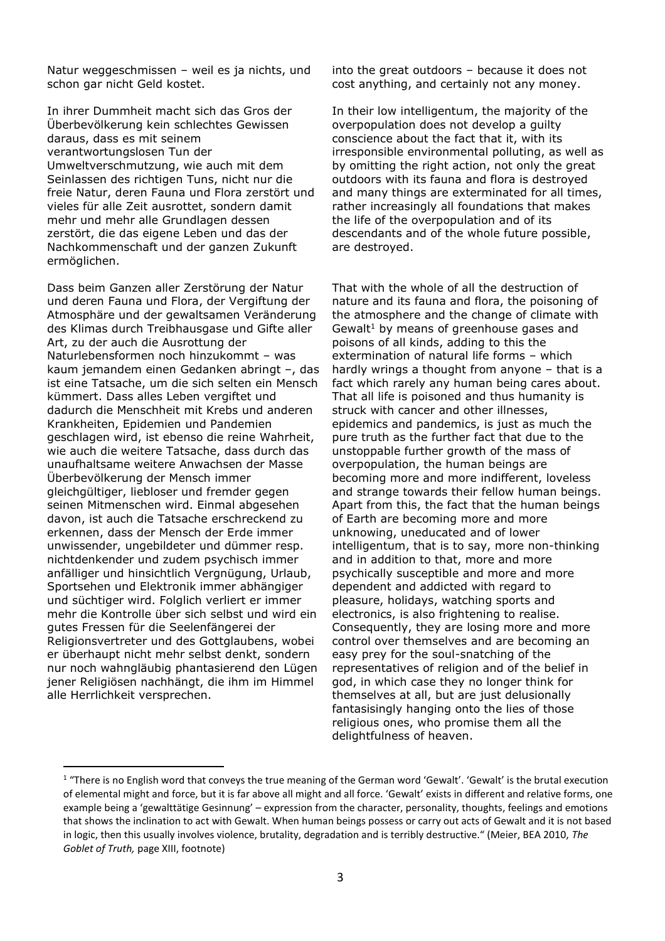Natur weggeschmissen – weil es ja nichts, und schon gar nicht Geld kostet.

In ihrer Dummheit macht sich das Gros der Überbevölkerung kein schlechtes Gewissen daraus, dass es mit seinem verantwortungslosen Tun der Umweltverschmutzung, wie auch mit dem Seinlassen des richtigen Tuns, nicht nur die freie Natur, deren Fauna und Flora zerstört und vieles für alle Zeit ausrottet, sondern damit mehr und mehr alle Grundlagen dessen zerstört, die das eigene Leben und das der Nachkommenschaft und der ganzen Zukunft ermöglichen.

Dass beim Ganzen aller Zerstörung der Natur und deren Fauna und Flora, der Vergiftung der Atmosphäre und der gewaltsamen Veränderung des Klimas durch Treibhausgase und Gifte aller Art, zu der auch die Ausrottung der Naturlebensformen noch hinzukommt – was kaum jemandem einen Gedanken abringt –, das ist eine Tatsache, um die sich selten ein Mensch kümmert. Dass alles Leben vergiftet und dadurch die Menschheit mit Krebs und anderen Krankheiten, Epidemien und Pandemien geschlagen wird, ist ebenso die reine Wahrheit, wie auch die weitere Tatsache, dass durch das unaufhaltsame weitere Anwachsen der Masse Überbevölkerung der Mensch immer gleichgültiger, liebloser und fremder gegen seinen Mitmenschen wird. Einmal abgesehen davon, ist auch die Tatsache erschreckend zu erkennen, dass der Mensch der Erde immer unwissender, ungebildeter und dümmer resp. nichtdenkender und zudem psychisch immer anfälliger und hinsichtlich Vergnügung, Urlaub, Sportsehen und Elektronik immer abhängiger und süchtiger wird. Folglich verliert er immer mehr die Kontrolle über sich selbst und wird ein gutes Fressen für die Seelenfängerei der Religionsvertreter und des Gottglaubens, wobei er überhaupt nicht mehr selbst denkt, sondern nur noch wahngläubig phantasierend den Lügen jener Religiösen nachhängt, die ihm im Himmel alle Herrlichkeit versprechen.

into the great outdoors – because it does not cost anything, and certainly not any money.

In their low intelligentum, the majority of the overpopulation does not develop a guilty conscience about the fact that it, with its irresponsible environmental polluting, as well as by omitting the right action, not only the great outdoors with its fauna and flora is destroyed and many things are exterminated for all times, rather increasingly all foundations that makes the life of the overpopulation and of its descendants and of the whole future possible, are destroyed.

That with the whole of all the destruction of nature and its fauna and flora, the poisoning of the atmosphere and the change of climate with Gewalt<sup>1</sup> by means of greenhouse gases and poisons of all kinds, adding to this the extermination of natural life forms – which hardly wrings a thought from anyone – that is a fact which rarely any human being cares about. That all life is poisoned and thus humanity is struck with cancer and other illnesses, epidemics and pandemics, is just as much the pure truth as the further fact that due to the unstoppable further growth of the mass of overpopulation, the human beings are becoming more and more indifferent, loveless and strange towards their fellow human beings. Apart from this, the fact that the human beings of Earth are becoming more and more unknowing, uneducated and of lower intelligentum, that is to say, more non-thinking and in addition to that, more and more psychically susceptible and more and more dependent and addicted with regard to pleasure, holidays, watching sports and electronics, is also frightening to realise. Consequently, they are losing more and more control over themselves and are becoming an easy prey for the soul-snatching of the representatives of religion and of the belief in god, in which case they no longer think for themselves at all, but are just delusionally fantasisingly hanging onto the lies of those religious ones, who promise them all the delightfulness of heaven.

 $1$  "There is no English word that conveys the true meaning of the German word 'Gewalt'. 'Gewalt' is the brutal execution of elemental might and force, but it is far above all might and all force. 'Gewalt' exists in different and relative forms, one example being a 'gewalttätige Gesinnung' – expression from the character, personality, thoughts, feelings and emotions that shows the inclination to act with Gewalt. When human beings possess or carry out acts of Gewalt and it is not based in logic, then this usually involves violence, brutality, degradation and is terribly destructive." (Meier, BEA 2010, *The Goblet of Truth,* page XIII, footnote)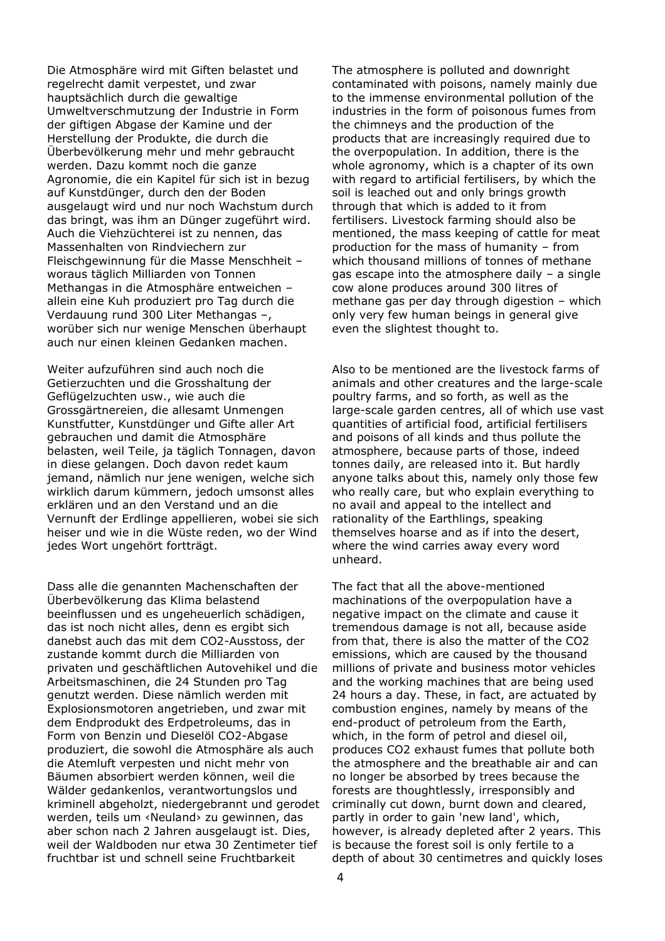Die Atmosphäre wird mit Giften belastet und regelrecht damit verpestet, und zwar hauptsächlich durch die gewaltige Umweltverschmutzung der Industrie in Form der giftigen Abgase der Kamine und der Herstellung der Produkte, die durch die Überbevölkerung mehr und mehr gebraucht werden. Dazu kommt noch die ganze Agronomie, die ein Kapitel für sich ist in bezug auf Kunstdünger, durch den der Boden ausgelaugt wird und nur noch Wachstum durch das bringt, was ihm an Dünger zugeführt wird. Auch die Viehzüchterei ist zu nennen, das Massenhalten von Rindviechern zur Fleischgewinnung für die Masse Menschheit – woraus täglich Milliarden von Tonnen Methangas in die Atmosphäre entweichen – allein eine Kuh produziert pro Tag durch die Verdauung rund 300 Liter Methangas –, worüber sich nur wenige Menschen überhaupt auch nur einen kleinen Gedanken machen.

Weiter aufzuführen sind auch noch die Getierzuchten und die Grosshaltung der Geflügelzuchten usw., wie auch die Grossgärtnereien, die allesamt Unmengen Kunstfutter, Kunstdünger und Gifte aller Art gebrauchen und damit die Atmosphäre belasten, weil Teile, ja täglich Tonnagen, davon in diese gelangen. Doch davon redet kaum jemand, nämlich nur jene wenigen, welche sich wirklich darum kümmern, jedoch umsonst alles erklären und an den Verstand und an die Vernunft der Erdlinge appellieren, wobei sie sich heiser und wie in die Wüste reden, wo der Wind jedes Wort ungehört fortträgt.

Dass alle die genannten Machenschaften der Überbevölkerung das Klima belastend beeinflussen und es ungeheuerlich schädigen, das ist noch nicht alles, denn es ergibt sich danebst auch das mit dem CO2-Ausstoss, der zustande kommt durch die Milliarden von privaten und geschäftlichen Autovehikel und die Arbeitsmaschinen, die 24 Stunden pro Tag genutzt werden. Diese nämlich werden mit Explosionsmotoren angetrieben, und zwar mit dem Endprodukt des Erdpetroleums, das in Form von Benzin und Dieselöl CO2-Abgase produziert, die sowohl die Atmosphäre als auch die Atemluft verpesten und nicht mehr von Bäumen absorbiert werden können, weil die Wälder gedankenlos, verantwortungslos und kriminell abgeholzt, niedergebrannt und gerodet werden, teils um ‹Neuland› zu gewinnen, das aber schon nach 2 Jahren ausgelaugt ist. Dies, weil der Waldboden nur etwa 30 Zentimeter tief fruchtbar ist und schnell seine Fruchtbarkeit

The atmosphere is polluted and downright contaminated with poisons, namely mainly due to the immense environmental pollution of the industries in the form of poisonous fumes from the chimneys and the production of the products that are increasingly required due to the overpopulation. In addition, there is the whole agronomy, which is a chapter of its own with regard to artificial fertilisers, by which the soil is leached out and only brings growth through that which is added to it from fertilisers. Livestock farming should also be mentioned, the mass keeping of cattle for meat production for the mass of humanity – from which thousand millions of tonnes of methane gas escape into the atmosphere daily – a single cow alone produces around 300 litres of methane gas per day through digestion – which only very few human beings in general give even the slightest thought to.

Also to be mentioned are the livestock farms of animals and other creatures and the large-scale poultry farms, and so forth, as well as the large-scale garden centres, all of which use vast quantities of artificial food, artificial fertilisers and poisons of all kinds and thus pollute the atmosphere, because parts of those, indeed tonnes daily, are released into it. But hardly anyone talks about this, namely only those few who really care, but who explain everything to no avail and appeal to the intellect and rationality of the Earthlings, speaking themselves hoarse and as if into the desert, where the wind carries away every word unheard.

The fact that all the above-mentioned machinations of the overpopulation have a negative impact on the climate and cause it tremendous damage is not all, because aside from that, there is also the matter of the CO2 emissions, which are caused by the thousand millions of private and business motor vehicles and the working machines that are being used 24 hours a day. These, in fact, are actuated by combustion engines, namely by means of the end-product of petroleum from the Earth, which, in the form of petrol and diesel oil, produces CO2 exhaust fumes that pollute both the atmosphere and the breathable air and can no longer be absorbed by trees because the forests are thoughtlessly, irresponsibly and criminally cut down, burnt down and cleared, partly in order to gain 'new land', which, however, is already depleted after 2 years. This is because the forest soil is only fertile to a depth of about 30 centimetres and quickly loses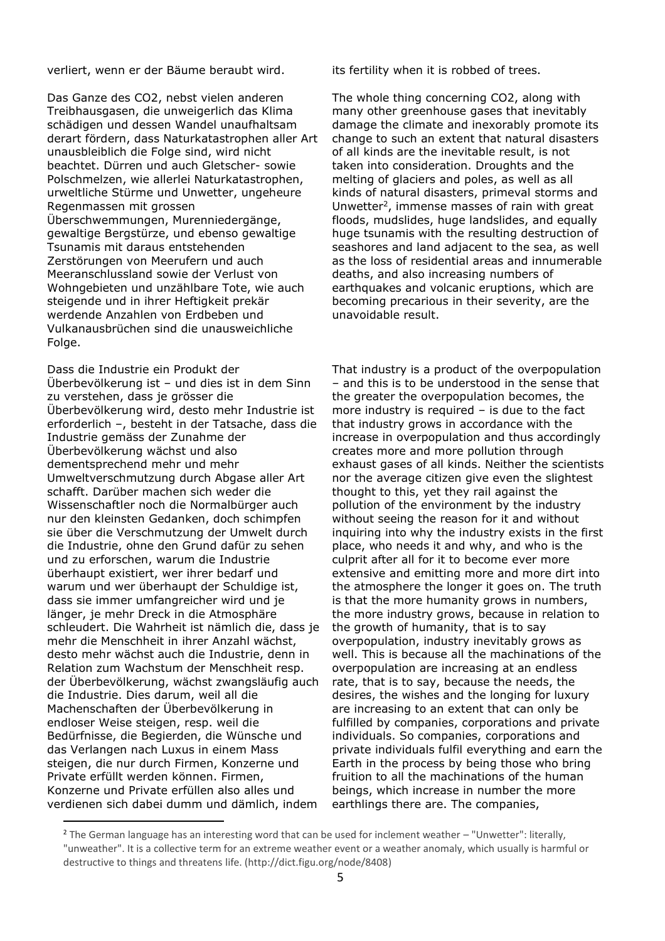verliert, wenn er der Bäume beraubt wird. its fertility when it is robbed of trees.

Das Ganze des CO2, nebst vielen anderen Treibhausgasen, die unweigerlich das Klima schädigen und dessen Wandel unaufhaltsam derart fördern, dass Naturkatastrophen aller Art unausbleiblich die Folge sind, wird nicht beachtet. Dürren und auch Gletscher- sowie Polschmelzen, wie allerlei Naturkatastrophen, urweltliche Stürme und Unwetter, ungeheure Regenmassen mit grossen Überschwemmungen, Murenniedergänge, gewaltige Bergstürze, und ebenso gewaltige Tsunamis mit daraus entstehenden Zerstörungen von Meerufern und auch Meeranschlussland sowie der Verlust von Wohngebieten und unzählbare Tote, wie auch steigende und in ihrer Heftigkeit prekär werdende Anzahlen von Erdbeben und Vulkanausbrüchen sind die unausweichliche Folge.

Dass die Industrie ein Produkt der Überbevölkerung ist – und dies ist in dem Sinn zu verstehen, dass je grösser die Überbevölkerung wird, desto mehr Industrie ist erforderlich –, besteht in der Tatsache, dass die Industrie gemäss der Zunahme der Überbevölkerung wächst und also dementsprechend mehr und mehr Umweltverschmutzung durch Abgase aller Art schafft. Darüber machen sich weder die Wissenschaftler noch die Normalbürger auch nur den kleinsten Gedanken, doch schimpfen sie über die Verschmutzung der Umwelt durch die Industrie, ohne den Grund dafür zu sehen und zu erforschen, warum die Industrie überhaupt existiert, wer ihrer bedarf und warum und wer überhaupt der Schuldige ist, dass sie immer umfangreicher wird und je länger, je mehr Dreck in die Atmosphäre schleudert. Die Wahrheit ist nämlich die, dass je mehr die Menschheit in ihrer Anzahl wächst, desto mehr wächst auch die Industrie, denn in Relation zum Wachstum der Menschheit resp. der Überbevölkerung, wächst zwangsläufig auch die Industrie. Dies darum, weil all die Machenschaften der Überbevölkerung in endloser Weise steigen, resp. weil die Bedürfnisse, die Begierden, die Wünsche und das Verlangen nach Luxus in einem Mass steigen, die nur durch Firmen, Konzerne und Private erfüllt werden können. Firmen, Konzerne und Private erfüllen also alles und verdienen sich dabei dumm und dämlich, indem

The whole thing concerning CO2, along with many other greenhouse gases that inevitably damage the climate and inexorably promote its change to such an extent that natural disasters of all kinds are the inevitable result, is not taken into consideration. Droughts and the melting of glaciers and poles, as well as all kinds of natural disasters, primeval storms and Unwetter<sup>2</sup>, immense masses of rain with great floods, mudslides, huge landslides, and equally huge tsunamis with the resulting destruction of seashores and land adjacent to the sea, as well as the loss of residential areas and innumerable deaths, and also increasing numbers of earthquakes and volcanic eruptions, which are becoming precarious in their severity, are the unavoidable result.

That industry is a product of the overpopulation – and this is to be understood in the sense that the greater the overpopulation becomes, the more industry is required – is due to the fact that industry grows in accordance with the increase in overpopulation and thus accordingly creates more and more pollution through exhaust gases of all kinds. Neither the scientists nor the average citizen give even the slightest thought to this, yet they rail against the pollution of the environment by the industry without seeing the reason for it and without inquiring into why the industry exists in the first place, who needs it and why, and who is the culprit after all for it to become ever more extensive and emitting more and more dirt into the atmosphere the longer it goes on. The truth is that the more humanity grows in numbers, the more industry grows, because in relation to the growth of humanity, that is to say overpopulation, industry inevitably grows as well. This is because all the machinations of the overpopulation are increasing at an endless rate, that is to say, because the needs, the desires, the wishes and the longing for luxury are increasing to an extent that can only be fulfilled by companies, corporations and private individuals. So companies, corporations and private individuals fulfil everything and earn the Earth in the process by being those who bring fruition to all the machinations of the human beings, which increase in number the more earthlings there are. The companies,

<sup>&</sup>lt;sup>2</sup> The German language has an interesting word that can be used for inclement weather - "Unwetter": literally, "unweather". It is a collective term for an extreme weather event or a weather anomaly, which usually is harmful or destructive to things and threatens life. (http://dict.figu.org/node/8408)